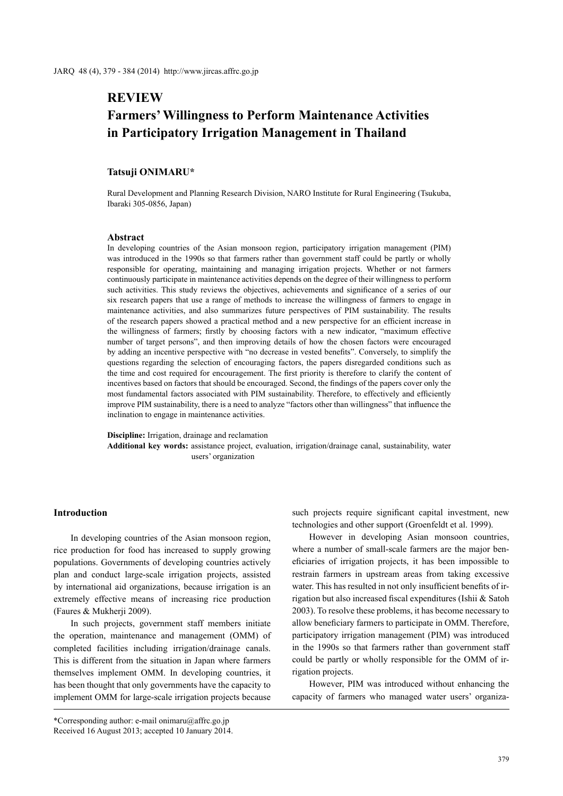# **REVIEW Farmers' Willingness to Perform Maintenance Activities in Participatory Irrigation Management in Thailand**

# **Tatsuji ONIMARU\***

Rural Development and Planning Research Division, NARO Institute for Rural Engineering (Tsukuba, Ibaraki 305-0856, Japan)

## **Abstract**

In developing countries of the Asian monsoon region, participatory irrigation management (PIM) was introduced in the 1990s so that farmers rather than government staff could be partly or wholly responsible for operating, maintaining and managing irrigation projects. Whether or not farmers continuously participate in maintenance activities depends on the degree of their willingness to perform such activities. This study reviews the objectives, achievements and significance of a series of our six research papers that use a range of methods to increase the willingness of farmers to engage in maintenance activities, and also summarizes future perspectives of PIM sustainability. The results of the research papers showed a practical method and a new perspective for an efficient increase in the willingness of farmers; firstly by choosing factors with a new indicator, "maximum effective number of target persons", and then improving details of how the chosen factors were encouraged by adding an incentive perspective with "no decrease in vested benefits". Conversely, to simplify the questions regarding the selection of encouraging factors, the papers disregarded conditions such as the time and cost required for encouragement. The first priority is therefore to clarify the content of incentives based on factors that should be encouraged. Second, the findings of the papers cover only the most fundamental factors associated with PIM sustainability. Therefore, to effectively and efficiently improve PIM sustainability, there is a need to analyze "factors other than willingness" that influence the inclination to engage in maintenance activities.

**Discipline:** Irrigation, drainage and reclamation **Additional key words:** assistance project, evaluation, irrigation/drainage canal, sustainability, water users' organization

# **Introduction**

In developing countries of the Asian monsoon region, rice production for food has increased to supply growing populations. Governments of developing countries actively plan and conduct large-scale irrigation projects, assisted by international aid organizations, because irrigation is an extremely effective means of increasing rice production (Faures & Mukherji 2009).

In such projects, government staff members initiate the operation, maintenance and management (OMM) of completed facilities including irrigation/drainage canals. This is different from the situation in Japan where farmers themselves implement OMM. In developing countries, it has been thought that only governments have the capacity to implement OMM for large-scale irrigation projects because

such projects require significant capital investment, new technologies and other support (Groenfeldt et al. 1999).

However in developing Asian monsoon countries, where a number of small-scale farmers are the major beneficiaries of irrigation projects, it has been impossible to restrain farmers in upstream areas from taking excessive water. This has resulted in not only insufficient benefits of irrigation but also increased fiscal expenditures (Ishii & Satoh 2003). To resolve these problems, it has become necessary to allow beneficiary farmers to participate in OMM. Therefore, participatory irrigation management (PIM) was introduced in the 1990s so that farmers rather than government staff could be partly or wholly responsible for the OMM of irrigation projects.

However, PIM was introduced without enhancing the capacity of farmers who managed water users' organiza-

<sup>\*</sup>Corresponding author: e-mail onimaru@affrc.go.jp Received 16 August 2013; accepted 10 January 2014.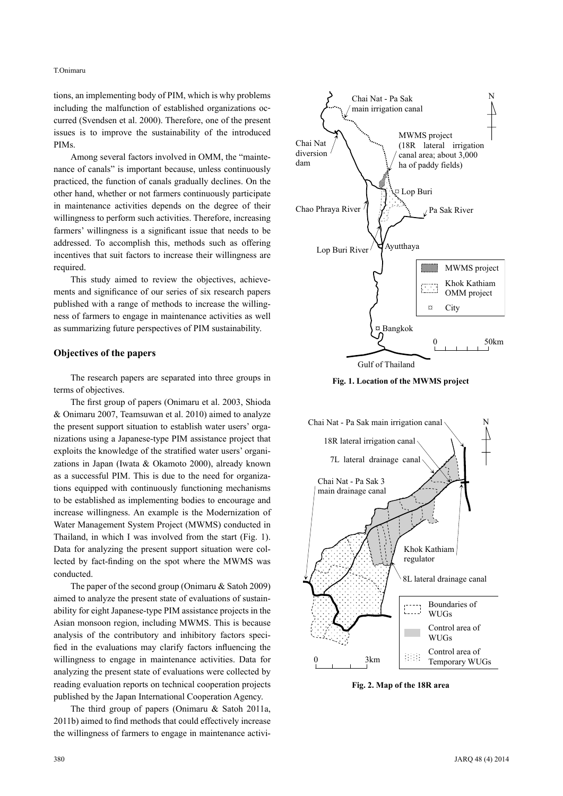## T.Onimaru

tions, an implementing body of PIM, which is why problems including the malfunction of established organizations occurred (Svendsen et al. 2000). Therefore, one of the present issues is to improve the sustainability of the introduced PIMs.

Among several factors involved in OMM, the "maintenance of canals" is important because, unless continuously practiced, the function of canals gradually declines. On the other hand, whether or not farmers continuously participate in maintenance activities depends on the degree of their willingness to perform such activities. Therefore, increasing farmers' willingness is a significant issue that needs to be addressed. To accomplish this, methods such as offering incentives that suit factors to increase their willingness are required.

This study aimed to review the objectives, achievements and significance of our series of six research papers published with a range of methods to increase the willingness of farmers to engage in maintenance activities as well as summarizing future perspectives of PIM sustainability.

## **Objectives of the papers**

The research papers are separated into three groups in terms of objectives.

The first group of papers (Onimaru et al. 2003, Shioda & Onimaru 2007, Teamsuwan et al. 2010) aimed to analyze the present support situation to establish water users' organizations using a Japanese-type PIM assistance project that exploits the knowledge of the stratified water users' organizations in Japan (Iwata & Okamoto 2000), already known as a successful PIM. This is due to the need for organizations equipped with continuously functioning mechanisms to be established as implementing bodies to encourage and increase willingness. An example is the Modernization of Water Management System Project (MWMS) conducted in Thailand, in which I was involved from the start (Fig. 1). Data for analyzing the present support situation were collected by fact-finding on the spot where the MWMS was conducted.

The paper of the second group (Onimaru & Satoh 2009) aimed to analyze the present state of evaluations of sustainability for eight Japanese-type PIM assistance projects in the Asian monsoon region, including MWMS. This is because analysis of the contributory and inhibitory factors specified in the evaluations may clarify factors influencing the willingness to engage in maintenance activities. Data for analyzing the present state of evaluations were collected by reading evaluation reports on technical cooperation projects published by the Japan International Cooperation Agency.

The third group of papers (Onimaru & Satoh 2011a, 2011b) aimed to find methods that could effectively increase the willingness of farmers to engage in maintenance activi-







**Fig. 2. Map of the 18R area**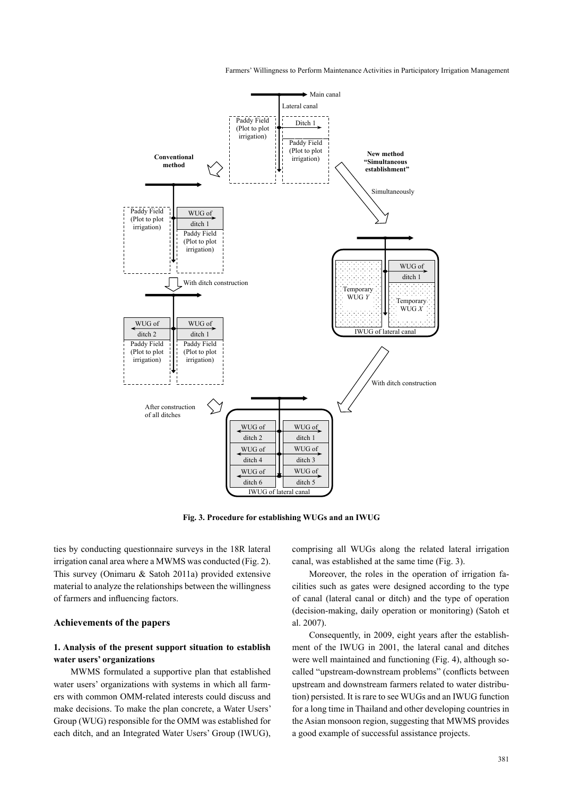Farmers' Willingness to Perform Maintenance Activities in Participatory Irrigation Management



**Fig. 3. Procedure for establishing WUGs and an IWUG**

ties by conducting questionnaire surveys in the 18R lateral irrigation canal area where a MWMS was conducted (Fig. 2). This survey (Onimaru & Satoh 2011a) provided extensive material to analyze the relationships between the willingness of farmers and influencing factors.

# **Achievements of the papers**

# **1. Analysis of the present support situation to establish water users' organizations**

MWMS formulated a supportive plan that established water users' organizations with systems in which all farmers with common OMM-related interests could discuss and make decisions. To make the plan concrete, a Water Users' Group (WUG) responsible for the OMM was established for each ditch, and an Integrated Water Users' Group (IWUG), comprising all WUGs along the related lateral irrigation canal, was established at the same time (Fig. 3).

Moreover, the roles in the operation of irrigation facilities such as gates were designed according to the type of canal (lateral canal or ditch) and the type of operation (decision-making, daily operation or monitoring) (Satoh et al. 2007).

Consequently, in 2009, eight years after the establishment of the IWUG in 2001, the lateral canal and ditches were well maintained and functioning (Fig. 4), although socalled "upstream-downstream problems" (conflicts between upstream and downstream farmers related to water distribution) persisted. It is rare to see WUGs and an IWUG function for a long time in Thailand and other developing countries in the Asian monsoon region, suggesting that MWMS provides a good example of successful assistance projects.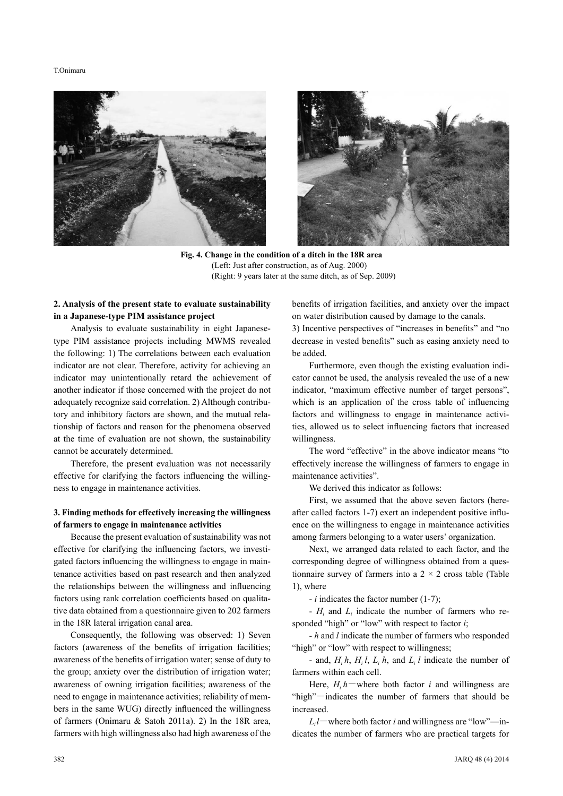#### T.Onimaru





**Fig. 4. Change in the condition of a ditch in the 18R area** (Left: Just after construction, as of Aug. 2000) (Right: 9 years later at the same ditch, as of Sep. 2009)

# **2. Analysis of the present state to evaluate sustainability in a Japanese-type PIM assistance project**

Analysis to evaluate sustainability in eight Japanesetype PIM assistance projects including MWMS revealed the following: 1) The correlations between each evaluation indicator are not clear. Therefore, activity for achieving an indicator may unintentionally retard the achievement of another indicator if those concerned with the project do not adequately recognize said correlation. 2) Although contributory and inhibitory factors are shown, and the mutual relationship of factors and reason for the phenomena observed at the time of evaluation are not shown, the sustainability cannot be accurately determined.

Therefore, the present evaluation was not necessarily effective for clarifying the factors influencing the willingness to engage in maintenance activities.

# **3. Finding methods for effectively increasing the willingness of farmers to engage in maintenance activities**

Because the present evaluation of sustainability was not effective for clarifying the influencing factors, we investigated factors influencing the willingness to engage in maintenance activities based on past research and then analyzed the relationships between the willingness and influencing factors using rank correlation coefficients based on qualitative data obtained from a questionnaire given to 202 farmers in the 18R lateral irrigation canal area.

Consequently, the following was observed: 1) Seven factors (awareness of the benefits of irrigation facilities; awareness of the benefits of irrigation water; sense of duty to the group; anxiety over the distribution of irrigation water; awareness of owning irrigation facilities; awareness of the need to engage in maintenance activities; reliability of members in the same WUG) directly influenced the willingness of farmers (Onimaru & Satoh 2011a). 2) In the 18R area, farmers with high willingness also had high awareness of the

benefits of irrigation facilities, and anxiety over the impact on water distribution caused by damage to the canals.

3) Incentive perspectives of "increases in benefits" and "no decrease in vested benefits" such as easing anxiety need to be added.

Furthermore, even though the existing evaluation indicator cannot be used, the analysis revealed the use of a new indicator, "maximum effective number of target persons", which is an application of the cross table of influencing factors and willingness to engage in maintenance activities, allowed us to select influencing factors that increased willingness.

The word "effective" in the above indicator means "to effectively increase the willingness of farmers to engage in maintenance activities".

We derived this indicator as follows:

First, we assumed that the above seven factors (hereafter called factors 1-7) exert an independent positive influence on the willingness to engage in maintenance activities among farmers belonging to a water users' organization.

Next, we arranged data related to each factor, and the corresponding degree of willingness obtained from a questionnaire survey of farmers into a  $2 \times 2$  cross table (Table 1), where

- *i* indicates the factor number (1-7);

 $-H_i$  and  $L_i$  indicate the number of farmers who responded "high" or "low" with respect to factor *i*;

- *h* and *l* indicate the number of farmers who responded "high" or "low" with respect to willingness;

- and,  $H_i h$ ,  $H_i l$ ,  $L_i h$ , and  $L_i l$  indicate the number of farmers within each cell.

Here,  $H_i h$  where both factor *i* and willingness are "high"-indicates the number of farmers that should be increased.

 $L_i$ *l*—where both factor *i* and willingness are "low"—indicates the number of farmers who are practical targets for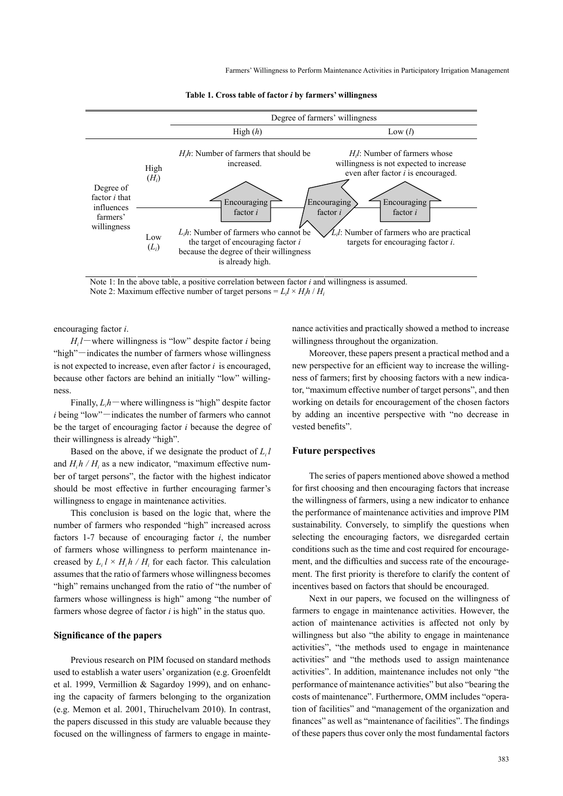Farmers' Willingness to Perform Maintenance Activities in Participatory Irrigation Management



**Table 1. Cross table of factor** *i* **by farmers' willingness**

Note 1: In the above table, a positive correlation between factor  $i$  and willingness is assumed. Note 2: Maximum effective number of target persons =  $L_i l \times H_i h / H_i$ 

encouraging factor *i*.

 $H_i$ *l*-where willingness is "low" despite factor *i* being "high"-indicates the number of farmers whose willingness is not expected to increase, even after factor *i* is encouraged, because other factors are behind an initially "low" willingness.

Finally,  $L_i h$  – where willingness is "high" despite factor *i* being "low"-indicates the number of farmers who cannot be the target of encouraging factor *i* because the degree of their willingness is already "high".

Based on the above, if we designate the product of  $L_i l$ and  $H_i h / H_i$  as a new indicator, "maximum effective number of target persons", the factor with the highest indicator should be most effective in further encouraging farmer's willingness to engage in maintenance activities.

This conclusion is based on the logic that, where the number of farmers who responded "high" increased across factors 1-7 because of encouraging factor *i*, the number of farmers whose willingness to perform maintenance increased by  $L_i \, l \times H_i \, h / H_i$  for each factor. This calculation assumes that the ratio of farmers whose willingness becomes "high" remains unchanged from the ratio of "the number of farmers whose willingness is high" among "the number of farmers whose degree of factor *i* is high" in the status quo.

# **Significance of the papers**

Previous research on PIM focused on standard methods used to establish a water users' organization (e.g. Groenfeldt et al. 1999, Vermillion & Sagardoy 1999), and on enhancing the capacity of farmers belonging to the organization (e.g. Memon et al. 2001, Thiruchelvam 2010). In contrast, the papers discussed in this study are valuable because they focused on the willingness of farmers to engage in maintenance activities and practically showed a method to increase willingness throughout the organization.

Moreover, these papers present a practical method and a new perspective for an efficient way to increase the willingness of farmers; first by choosing factors with a new indicator, "maximum effective number of target persons", and then working on details for encouragement of the chosen factors by adding an incentive perspective with "no decrease in vested benefits".

## **Future perspectives**

The series of papers mentioned above showed a method for first choosing and then encouraging factors that increase the willingness of farmers, using a new indicator to enhance the performance of maintenance activities and improve PIM sustainability. Conversely, to simplify the questions when selecting the encouraging factors, we disregarded certain conditions such as the time and cost required for encouragement, and the difficulties and success rate of the encouragement. The first priority is therefore to clarify the content of incentives based on factors that should be encouraged.

Next in our papers, we focused on the willingness of farmers to engage in maintenance activities. However, the action of maintenance activities is affected not only by willingness but also "the ability to engage in maintenance activities", "the methods used to engage in maintenance activities" and "the methods used to assign maintenance activities". In addition, maintenance includes not only "the performance of maintenance activities" but also "bearing the costs of maintenance". Furthermore, OMM includes "operation of facilities" and "management of the organization and finances" as well as "maintenance of facilities". The findings of these papers thus cover only the most fundamental factors